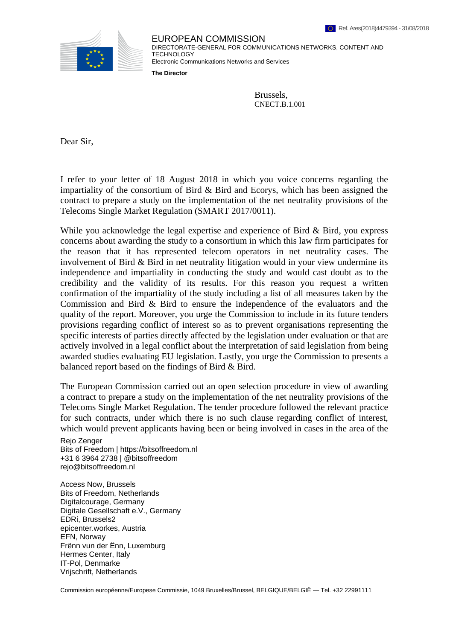

EUROPEAN COMMISSION DIRECTORATE-GENERAL FOR COMMUNICATIONS NETWORKS, CONTENT AND TECHNOLOGY Electronic Communications Networks and Services

**The Director**

Brussels, CNECT.B.1.001

Dear Sir,

I refer to your letter of 18 August 2018 in which you voice concerns regarding the impartiality of the consortium of Bird  $\&$  Bird and Ecorys, which has been assigned the contract to prepare a study on the implementation of the net neutrality provisions of the Telecoms Single Market Regulation (SMART 2017/0011).

While you acknowledge the legal expertise and experience of Bird & Bird, you express concerns about awarding the study to a consortium in which this law firm participates for the reason that it has represented telecom operators in net neutrality cases. The involvement of Bird & Bird in net neutrality litigation would in your view undermine its independence and impartiality in conducting the study and would cast doubt as to the credibility and the validity of its results. For this reason you request a written confirmation of the impartiality of the study including a list of all measures taken by the Commission and Bird & Bird to ensure the independence of the evaluators and the quality of the report. Moreover, you urge the Commission to include in its future tenders provisions regarding conflict of interest so as to prevent organisations representing the specific interests of parties directly affected by the legislation under evaluation or that are actively involved in a legal conflict about the interpretation of said legislation from being awarded studies evaluating EU legislation. Lastly, you urge the Commission to presents a balanced report based on the findings of Bird & Bird.

The European Commission carried out an open selection procedure in view of awarding a contract to prepare a study on the implementation of the net neutrality provisions of the Telecoms Single Market Regulation. The tender procedure followed the relevant practice for such contracts, under which there is no such clause regarding conflict of interest, which would prevent applicants having been or being involved in cases in the area of the

Rejo Zenger Bits of Freedom | https://bitsoffreedom.nl +31 6 3964 2738 | @bitsoffreedom rejo@bitsoffreedom.nl

Access Now, Brussels Bits of Freedom, Netherlands Digitalcourage, Germany Digitale Gesellschaft e.V., Germany EDRi, Brussels2 epicenter.workes, Austria EFN, Norway Frënn vun der Ënn, Luxemburg Hermes Center, Italy IT-Pol, Denmarke Vrijschrift, Netherlands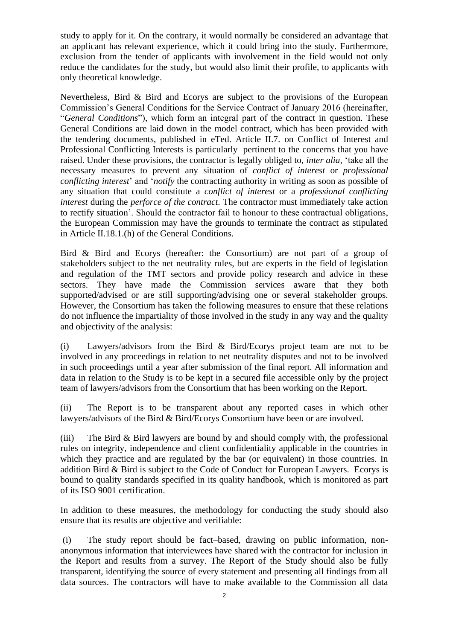study to apply for it. On the contrary, it would normally be considered an advantage that an applicant has relevant experience, which it could bring into the study. Furthermore, exclusion from the tender of applicants with involvement in the field would not only reduce the candidates for the study, but would also limit their profile, to applicants with only theoretical knowledge.

Nevertheless, Bird & Bird and Ecorys are subject to the provisions of the European Commission's General Conditions for the Service Contract of January 2016 (hereinafter, "*General Conditions*"), which form an integral part of the contract in question. These General Conditions are laid down in the model contract, which has been provided with the tendering documents, published in eTed. Article II.7. on Conflict of Interest and Professional Conflicting Interests is particularly pertinent to the concerns that you have raised. Under these provisions, the contractor is legally obliged to, *inter alia,* 'take all the necessary measures to prevent any situation of *conflict of interest* or *professional conflicting interest*' and '*notify* the contracting authority in writing as soon as possible of any situation that could constitute a *conflict of interest* or a *professional conflicting interest* during the *perforce of the contract.* The contractor must immediately take action to rectify situation'. Should the contractor fail to honour to these contractual obligations, the European Commission may have the grounds to terminate the contract as stipulated in Article II.18.1.(h) of the General Conditions.

Bird & Bird and Ecorys (hereafter: the Consortium) are not part of a group of stakeholders subject to the net neutrality rules, but are experts in the field of legislation and regulation of the TMT sectors and provide policy research and advice in these sectors. They have made the Commission services aware that they both supported/advised or are still supporting/advising one or several stakeholder groups. However, the Consortium has taken the following measures to ensure that these relations do not influence the impartiality of those involved in the study in any way and the quality and objectivity of the analysis:

(i) Lawyers/advisors from the Bird & Bird/Ecorys project team are not to be involved in any proceedings in relation to net neutrality disputes and not to be involved in such proceedings until a year after submission of the final report. All information and data in relation to the Study is to be kept in a secured file accessible only by the project team of lawyers/advisors from the Consortium that has been working on the Report.

(ii) The Report is to be transparent about any reported cases in which other lawyers/advisors of the Bird & Bird/Ecorys Consortium have been or are involved.

(iii) The Bird & Bird lawyers are bound by and should comply with, the professional rules on integrity, independence and client confidentiality applicable in the countries in which they practice and are regulated by the bar (or equivalent) in those countries. In addition Bird & Bird is subject to the Code of Conduct for European Lawyers. Ecorys is bound to quality standards specified in its quality handbook, which is monitored as part of its ISO 9001 certification.

In addition to these measures, the methodology for conducting the study should also ensure that its results are objective and verifiable:

(i) The study report should be fact–based, drawing on public information, nonanonymous information that interviewees have shared with the contractor for inclusion in the Report and results from a survey. The Report of the Study should also be fully transparent, identifying the source of every statement and presenting all findings from all data sources. The contractors will have to make available to the Commission all data